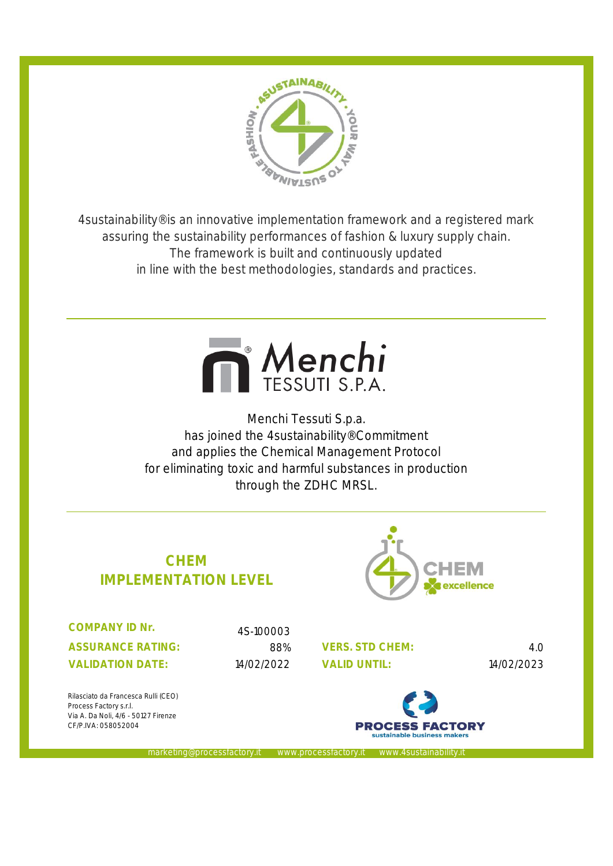

4sustainability® is an innovative implementation framework and a registered mark assuring the sustainability performances of fashion & luxury supply chain. The framework is built and continuously updated in line with the best methodologies, standards and practices.



Menchi Tessuti S.p.a. has joined the 4sustainability® Commitment and applies the Chemical Management Protocol for eliminating toxic and harmful substances in production through the ZDHC MRSL.





**ASSURANCE RATING: VALIDATION DATE: COMPANY ID Nr.** 

4S-100003

eting@processfactory.it www.processfactory.

88% 4.0 **VERS. STD CHEM:** 14/02/2022 14/02/2023



Rilasciato da Francesca Rulli (CEO) Process Factory s.r.l. Via A. Da Noli, 4/6 - 50127 Firenze CF/P.IVA: 058052004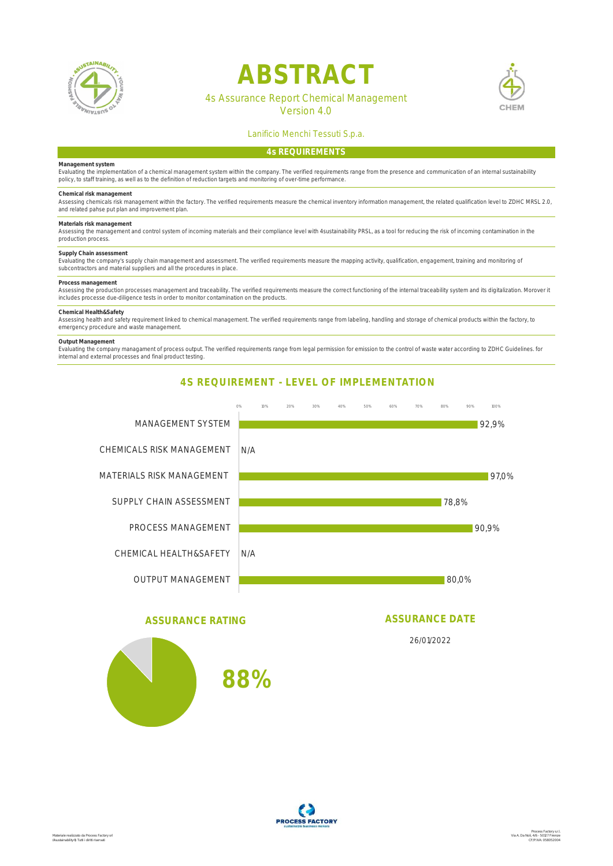

# **ABSTRACT**



## 4s Assurance Report Chemical Management

Version 4.0

### Lanificio Menchi Tessuti S.p.a.

#### **Management system**

Evaluating the implementation of a chemical management system within the company. The verified requirements range from the presence and communication of an internal sustainability<br>policy, to staff training, as well as to t

Chemical risk management<br>Assessing chemicals risk management within the factory. The verified requirements measure the chemical inventory information management, the related qualification level to ZDHC MRSL 2.0,<br>and relate

#### **Materials risk management**

Assessing the management and control system of incoming materials and their compliance level with 4sustainability PRSL, as a tool for reducing the risk of incoming contamination in the production process.

#### **Supply Chain assessment**

Evaluating the company's supply chain management and assessment. The verified requirements measure the mapping activity, qualification, engagement, training and monitoring of<br>subcontractors and material suppliers and all t

#### **Process management**

Assessing the production processes management and traceability. The verified requirements measure the correct functioning of the internal traceability system and its digitalization. Morover it<br>includes processe due-diligen

#### **Chemical Health&Safety**

Assessing health and safety requirement linked to chemical management. The verified requirements range from labeling, handling and storage of chemical products within the factory, to<br>emergency procedure and waste managemen

#### **Output Management**

Evaluating the company managament of process output. The verified requirements range from legal permission for emission to the control of waste water according to ZDHC Guidelines. for<br>internal and external processes and fi

### **4S REQUIREMENT - LEVEL OF IMPLEMENTATION**



### **ASSURANCE RATING**

**88%**

# **ASSURANCE DATE**

26/01/2022

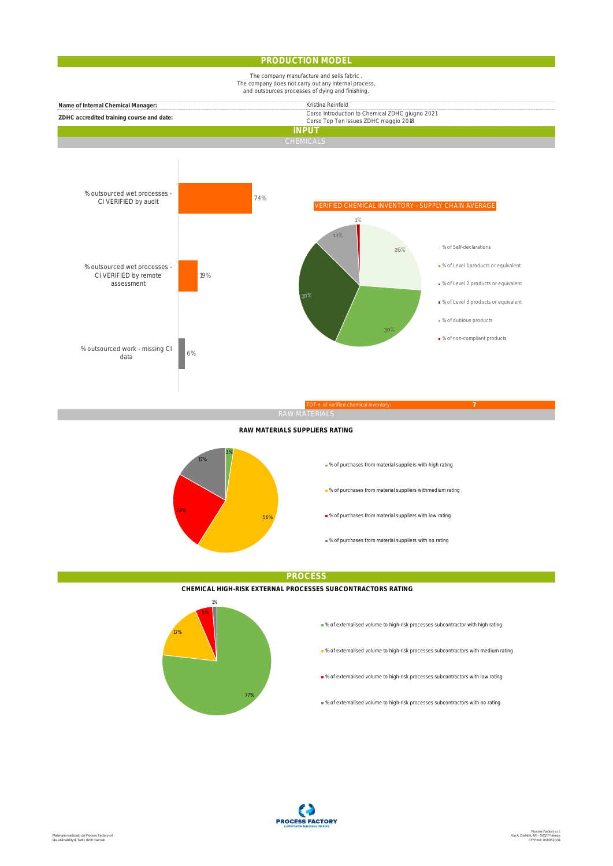#### **PRODUCTION MODEL**



#### **RAW MATERIALS SUPPLIERS RATING**



**PROCESS**

**CHEMICAL HIGH-RISK EXTERNAL PROCESSES SUBCONTRACTORS RATING**



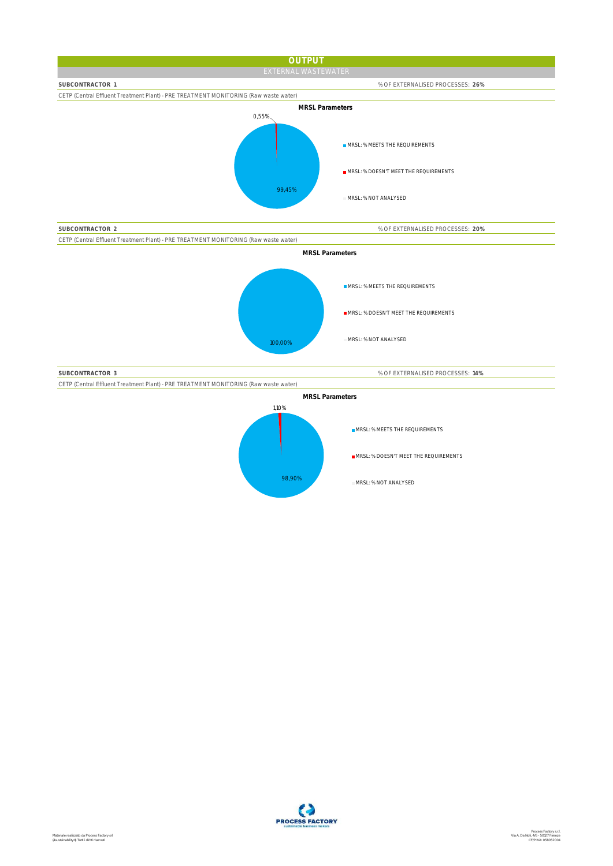